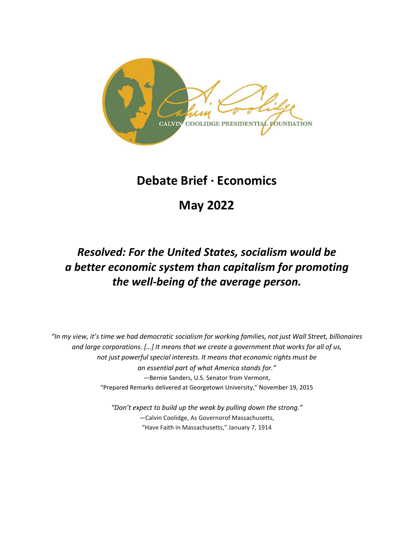

## **Debate Brief · Economics**

# **May 2022**

## *Resolved: For the United States, socialism would be a better economic system than capitalism for promoting the well-being of the average person.*

*"In my view, it's time we had democratic socialism for working families, not just Wall Street, billionaires and large corporations. […] It means that we create a government that works for all of us, not just powerful special interests. It means that economic rights must be an essential part of what America stands for."* —Bernie Sanders, U.S. Senator from Vermont, "Prepared Remarks delivered at Georgetown University," November 19, 2015

> *"Don't expect to build up the weak by pulling down the strong."* —Calvin Coolidge, As Governorof Massachusetts, "Have Faith in Massachusetts," January 7, 1914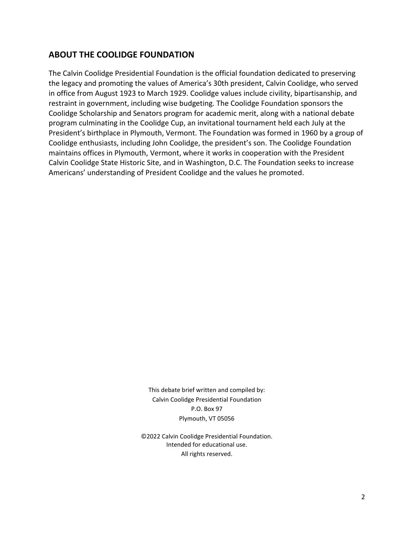## **ABOUT THE COOLIDGE FOUNDATION**

The Calvin Coolidge Presidential Foundation is the official foundation dedicated to preserving the legacy and promoting the values of America's 30th president, Calvin Coolidge, who served in office from August 1923 to March 1929. Coolidge values include civility, bipartisanship, and restraint in government, including wise budgeting. The Coolidge Foundation sponsors the Coolidge Scholarship and Senators program for academic merit, along with a national debate program culminating in the Coolidge Cup, an invitational tournament held each July at the President's birthplace in Plymouth, Vermont. The Foundation was formed in 1960 by a group of Coolidge enthusiasts, including John Coolidge, the president's son. The Coolidge Foundation maintains offices in Plymouth, Vermont, where it works in cooperation with the President Calvin Coolidge State Historic Site, and in Washington, D.C. The Foundation seeks to increase Americans' understanding of President Coolidge and the values he promoted.

> This debate brief written and compiled by: Calvin Coolidge Presidential Foundation P.O. Box 97 Plymouth, VT 05056

©2022 Calvin Coolidge Presidential Foundation. Intended for educational use. All rights reserved.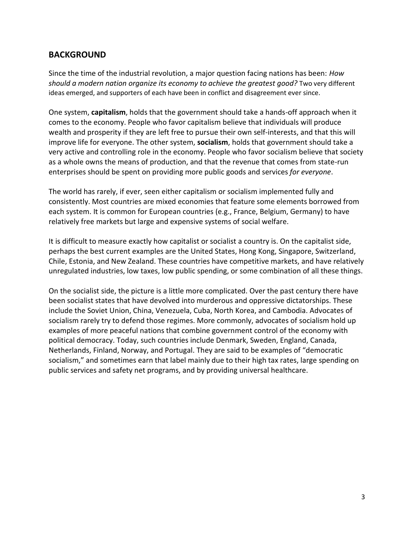## **BACKGROUND**

Since the time of the industrial revolution, a major question facing nations has been: *How should a modern nation organize its economy to achieve the greatest good?* Two very different ideas emerged, and supporters of each have been in conflict and disagreement ever since.

One system, **capitalism**, holds that the government should take a hands-off approach when it comes to the economy. People who favor capitalism believe that individuals will produce wealth and prosperity if they are left free to pursue their own self-interests, and that this will improve life for everyone. The other system, **socialism**, holds that government should take a very active and controlling role in the economy. People who favor socialism believe that society as a whole owns the means of production, and that the revenue that comes from state-run enterprises should be spent on providing more public goods and services *for everyone*.

The world has rarely, if ever, seen either capitalism or socialism implemented fully and consistently. Most countries are mixed economies that feature some elements borrowed from each system. It is common for European countries (e.g., France, Belgium, Germany) to have relatively free markets but large and expensive systems of social welfare.

It is difficult to measure exactly how capitalist or socialist a country is. On the capitalist side, perhaps the best current examples are the United States, Hong Kong, Singapore, Switzerland, Chile, Estonia, and New Zealand. These countries have competitive markets, and have relatively unregulated industries, low taxes, low public spending, or some combination of all these things.

On the socialist side, the picture is a little more complicated. Over the past century there have been socialist states that have devolved into murderous and oppressive dictatorships. These include the Soviet Union, China, Venezuela, Cuba, North Korea, and Cambodia. Advocates of socialism rarely try to defend those regimes. More commonly, advocates of socialism hold up examples of more peaceful nations that combine government control of the economy with political democracy. Today, such countries include Denmark, Sweden, England, Canada, Netherlands, Finland, Norway, and Portugal. They are said to be examples of "democratic socialism," and sometimes earn that label mainly due to their high tax rates, large spending on public services and safety net programs, and by providing universal healthcare.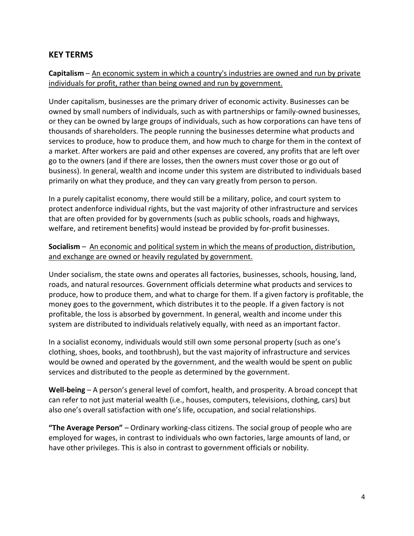### **KEY TERMS**

#### **Capitalism** – An economic system in which a country's industries are owned and run by private individuals for profit, rather than being owned and run by government.

Under capitalism, businesses are the primary driver of economic activity. Businesses can be owned by small numbers of individuals, such as with partnerships or family-owned businesses, or they can be owned by large groups of individuals, such as how corporations can have tens of thousands of shareholders. The people running the businesses determine what products and services to produce, how to produce them, and how much to charge for them in the context of a market. After workers are paid and other expenses are covered, any profits that are left over go to the owners (and if there are losses, then the owners must cover those or go out of business). In general, wealth and income under this system are distributed to individuals based primarily on what they produce, and they can vary greatly from person to person.

In a purely capitalist economy, there would still be a military, police, and court system to protect andenforce individual rights, but the vast majority of other infrastructure and services that are often provided for by governments (such as public schools, roads and highways, welfare, and retirement benefits) would instead be provided by for-profit businesses.

#### **Socialism** – An economic and political system in which the means of production, distribution, and exchange are owned or heavily regulated by government.

Under socialism, the state owns and operates all factories, businesses, schools, housing, land, roads, and natural resources. Government officials determine what products and services to produce, how to produce them, and what to charge for them. If a given factory is profitable, the money goes to the government, which distributes it to the people. If a given factory is not profitable, the loss is absorbed by government. In general, wealth and income under this system are distributed to individuals relatively equally, with need as an important factor.

In a socialist economy, individuals would still own some personal property (such as one's clothing, shoes, books, and toothbrush), but the vast majority of infrastructure and services would be owned and operated by the government, and the wealth would be spent on public services and distributed to the people as determined by the government.

**Well-being** – A person's general level of comfort, health, and prosperity. A broad concept that can refer to not just material wealth (i.e., houses, computers, televisions, clothing, cars) but also one's overall satisfaction with one's life, occupation, and social relationships.

**"The Average Person"** – Ordinary working-class citizens. The social group of people who are employed for wages, in contrast to individuals who own factories, large amounts of land, or have other privileges. This is also in contrast to government officials or nobility.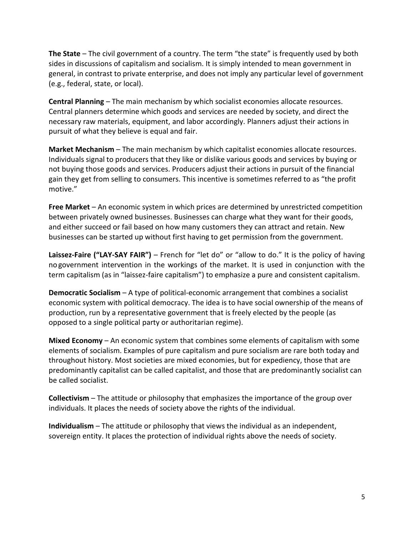**The State** – The civil government of a country. The term "the state" is frequently used by both sides in discussions of capitalism and socialism. It is simply intended to mean government in general, in contrast to private enterprise, and does not imply any particular level of government (e.g., federal, state, or local).

**Central Planning** – The main mechanism by which socialist economies allocate resources. Central planners determine which goods and services are needed by society, and direct the necessary raw materials, equipment, and labor accordingly. Planners adjust their actions in pursuit of what they believe is equal and fair.

**Market Mechanism** – The main mechanism by which capitalist economies allocate resources. Individuals signal to producers that they like or dislike various goods and services by buying or not buying those goods and services. Producers adjust their actions in pursuit of the financial gain they get from selling to consumers. This incentive is sometimes referred to as "the profit motive."

**Free Market** – An economic system in which prices are determined by unrestricted competition between privately owned businesses. Businesses can charge what they want for their goods, and either succeed or fail based on how many customers they can attract and retain. New businesses can be started up without first having to get permission from the government.

**Laissez-Faire ("LAY-SAY FAIR")** – French for "let do" or "allow to do." It is the policy of having no government intervention in the workings of the market. It is used in conjunction with the term capitalism (as in "laissez-faire capitalism") to emphasize a pure and consistent capitalism.

**Democratic Socialism** – A type of political-economic arrangement that combines a socialist economic system with political democracy. The idea is to have social ownership of the means of production, run by a representative government that is freely elected by the people (as opposed to a single political party or authoritarian regime).

**Mixed Economy** – An economic system that combines some elements of capitalism with some elements of socialism. Examples of pure capitalism and pure socialism are rare both today and throughout history. Most societies are mixed economies, but for expediency, those that are predominantly capitalist can be called capitalist, and those that are predominantly socialist can be called socialist.

**Collectivism** – The attitude or philosophy that emphasizes the importance of the group over individuals. It places the needs of society above the rights of the individual.

**Individualism** – The attitude or philosophy that views the individual as an independent, sovereign entity. It places the protection of individual rights above the needs of society.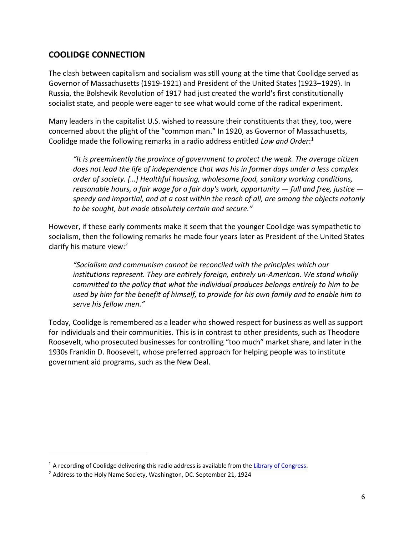## **COOLIDGE CONNECTION**

The clash between capitalism and socialism was still young at the time that Coolidge served as Governor of Massachusetts (1919-1921) and President of the United States (1923–1929). In Russia, the Bolshevik Revolution of 1917 had just created the world's first constitutionally socialist state, and people were eager to see what would come of the radical experiment.

Many leaders in the capitalist U.S. wished to reassure their constituents that they, too, were concerned about the plight of the "common man." In 1920, as Governor of Massachusetts, Coolidge made the following remarks in a radio address entitled *Law and Order*: 1

*"It is preeminently the province of government to protect the weak. The average citizen does not lead the life of independence that was his in former days under a less complex order of society. […] Healthful housing, wholesome food, sanitary working conditions, reasonable hours, a fair wage for a fair day's work, opportunity — full and free, justice speedy and impartial, and at a cost within the reach of all, are among the objects notonly to be sought, but made absolutely certain and secure."*

However, if these early comments make it seem that the younger Coolidge was sympathetic to socialism, then the following remarks he made four years later as President of the United States clarify his mature view:<sup>2</sup>

*"Socialism and communism cannot be reconciled with the principles which our institutions represent. They are entirely foreign, entirely un-American. We stand wholly committed to the policy that what the individual produces belongs entirely to him to be used by him for the benefit of himself, to provide for his own family and to enable him to serve his fellow men."*

Today, Coolidge is remembered as a leader who showed respect for business as well as support for individuals and their communities. This is in contrast to other presidents, such as Theodore Roosevelt, who prosecuted businesses for controlling "too much" market share, and later in the 1930s Franklin D. Roosevelt, whose preferred approach for helping people was to institute government aid programs, such as the New Deal.

<sup>&</sup>lt;sup>1</sup> A recording of Coolidge delivering this radio address is available from the [Library of Congress.](https://www.loc.gov/item/2004650652/)

 $2$  Address to the Holy Name Society, Washington, DC. September 21, 1924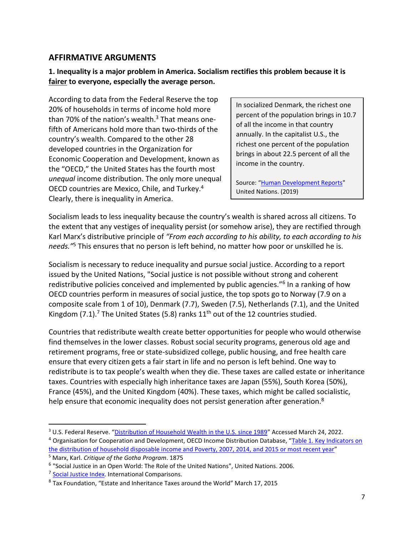## **AFFIRMATIVE ARGUMENTS**

#### **1. Inequality is a major problem in America. Socialism rectifies this problem because it is fairer to everyone, especially the average person.**

According to data from the Federal Reserve the top 20% of households in terms of income hold more than 70% of the nation's wealth. <sup>3</sup> That means onefifth of Americans hold more than two-thirds of the country's wealth. Compared to the other 28 developed countries in the Organization for Economic Cooperation and Development, known as the "OECD," the United States has the fourth most *unequal* income distribution. The only more unequal OECD countries are Mexico, Chile, and Turkey.<sup>4</sup> Clearly, there is inequality in America.

In socialized Denmark, the richest one percent of the population brings in 10.7 of all the income in that country annually. In the capitalist U.S., the richest one percent of the population brings in about 22.5 percent of all the income in the country.

Source: "[Human Development Reports"](https://hdr.undp.org/en/indicators/186106) United Nations. (2019)

Socialism leads to less inequality because the country's wealth is shared across all citizens. To the extent that any vestiges of inequality persist (or somehow arise), they are rectified through Karl Marx's distributive principle of *"From each according to his ability, to each according to his needs."*<sup>5</sup> This ensures that no person is left behind, no matter how poor or unskilled he is.

Socialism is necessary to reduce inequality and pursue social justice. According to a report issued by the United Nations, "Social justice is not possible without strong and coherent redistributive policies conceived and implemented by public agencies."<sup>6</sup> In a ranking of how OECD countries perform in measures of social justice, the top spots go to Norway (7.9 on a composite scale from 1 of 10), Denmark (7.7), Sweden (7.5), Netherlands (7.1), and the United Kingdom (7.1).<sup>7</sup> The United States (5.8) ranks  $11<sup>th</sup>$  out of the 12 countries studied.

Countries that redistribute wealth create better opportunities for people who would otherwise find themselves in the lower classes. Robust social security programs, generous old age and retirement programs, free or state-subsidized college, public housing, and free health care ensure that every citizen gets a fair start in life and no person is left behind. One way to redistribute is to tax people's wealth when they die. These taxes are called estate or inheritance taxes. Countries with especially high inheritance taxes are Japan (55%), South Korea (50%), France (45%), and the United Kingdom (40%). These taxes, which might be called socialistic, help ensure that economic inequality does not persist generation after generation.<sup>8</sup>

<sup>&</sup>lt;sup>3</sup> U.S. Federal Reserve. "[Distribution of Household Wealth in the U.S. since 1989](https://www.federalreserve.gov/releases/z1/dataviz/dfa/distribute/table/#quarter:127;series:Net%20worth;demographic:income;population:all;units:shares)" Accessed March 24, 2022.

<sup>4</sup> Organisation for Cooperation and Development, OECD Income Distribution Database, "[Table 1. Key Indicators on](http://www.oecd.org/social/income-distribution-database.htm) [the distribution of household disposable income and Poverty, 2007, 2014, and 2015 or most recent year](http://www.oecd.org/social/income-distribution-database.htm)"

<sup>5</sup> Marx, Karl. *Critique of the Gotha Program*. 1875

<sup>6</sup> "Social Justice in an Open World: The Role of the United Nations", United Nations. 2006.

<sup>&</sup>lt;sup>7</sup> Social [Justice](http://internationalcomparisons.org/) Index. International Comparisons.

<sup>&</sup>lt;sup>8</sup> Tax Foundation, "Estate and Inheritance Taxes around the World" March 17, 2015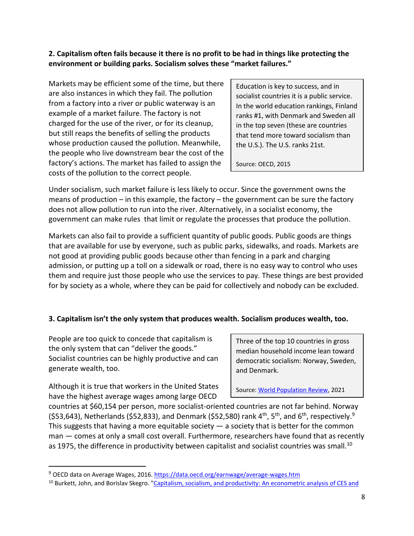**2. Capitalism often fails because it there is no profit to be had in things like protecting the environment or building parks. Socialism solves these "market failures."**

Markets may be efficient some of the time, but there are also instances in which they fail. The pollution from a factory into a river or public waterway is an example of a market failure. The factory is not charged for the use of the river, or for its cleanup, but still reaps the benefits of selling the products whose production caused the pollution. Meanwhile, the people who live downstream bear the cost of the factory's actions. The market has failed to assign the costs of the pollution to the correct people.

Education is key to success, and in socialist countries it is a public service. In the world education rankings, Finland ranks #1, with Denmark and Sweden all in the top seven (these are countries that tend more toward socialism than the U.S.). The U.S. ranks 21st.

Source: OECD, 2015

Under socialism, such market failure is less likely to occur. Since the government owns the means of production – in this example, the factory – the government can be sure the factory does not allow pollution to run into the river. Alternatively, in a socialist economy, the government can make rules that limit or regulate the processes that produce the pollution.

Markets can also fail to provide a sufficient quantity of public goods. Public goods are things that are available for use by everyone, such as public parks, sidewalks, and roads. Markets are not good at providing public goods because other than fencing in a park and charging admission, or putting up a toll on a sidewalk or road, there is no easy way to control who uses them and require just those people who use the services to pay. These things are best provided for by society as a whole, where they can be paid for collectively and nobody can be excluded.

#### **3. Capitalism isn't the only system that produces wealth. Socialism produces wealth, too.**

People are too quick to concede that capitalism is the only system that can "deliver the goods." Socialist countries can be highly productive and can generate wealth, too.

Three of the top 10 countries in gross median household income lean toward democratic socialism: Norway, Sweden, and Denmark.

Although it is true that workers in the United States have the highest average wages among large OECD

Source: [World Population Review,](https://worldpopulationreview.com/country-rankings/median-income-by-country) 2021

countries at \$60,154 per person, more socialist-oriented countries are not far behind. Norway (\$53,643), Netherlands (\$52,833), and Denmark (\$52,580) rank 4<sup>th</sup>, 5<sup>th</sup>, and 6<sup>th</sup>, respectively.<sup>9</sup> This suggests that having a more equitable society  $-$  a society that is better for the common man — comes at only a small cost overall. Furthermore, researchers have found that as recently as 1975, the difference in productivity between capitalist and socialist countries was small.<sup>10</sup>

<sup>9</sup> OECD data on Average Wages, 2016. <https://data.oecd.org/earnwage/average-wages.htm>

<sup>&</sup>lt;sup>10</sup> Burkett, John, and Borislav Skegro. "Capitalism, socialism, and [productivity:](https://www.sciencedirect.com/science/article/abs/pii/0014292189900883) An econometric analysis of CES and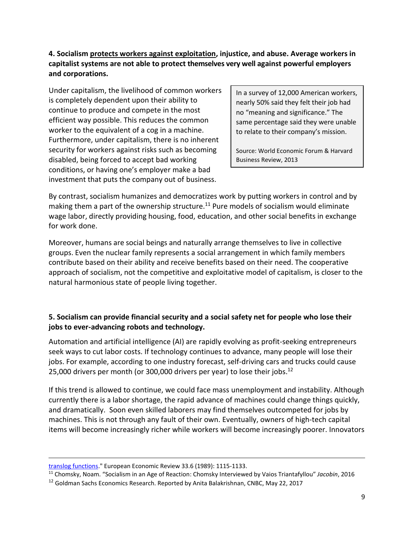**4. Socialism protects workers against exploitation, injustice, and abuse. Average workers in capitalist systems are not able to protect themselves very well against powerful employers and corporations.**

Under capitalism, the livelihood of common workers is completely dependent upon their ability to continue to produce and compete in the most efficient way possible. This reduces the common worker to the equivalent of a cog in a machine. Furthermore, under capitalism, there is no inherent security for workers against risks such as becoming disabled, being forced to accept bad working conditions, or having one's employer make a bad investment that puts the company out of business.

In a survey of 12,000 American workers, nearly 50% said they felt their job had no "meaning and significance." The same percentage said they were unable to relate to their company's mission.

Source: World Economic Forum & Harvard Business Review, 2013

By contrast, socialism humanizes and democratizes work by putting workers in control and by making them a part of the ownership structure.<sup>11</sup> Pure models of socialism would eliminate wage labor, directly providing housing, food, education, and other social benefits in exchange for work done.

Moreover, humans are social beings and naturally arrange themselves to live in collective groups. Even the nuclear family represents a social arrangement in which family members contribute based on their ability and receive benefits based on their need. The cooperative approach of socialism, not the competitive and exploitative model of capitalism, is closer to the natural harmonious state of people living together.

#### **5. Socialism can provide financial security and a social safety net for people who lose their jobs to ever-advancing robots and technology.**

Automation and artificial intelligence (AI) are rapidly evolving as profit-seeking entrepreneurs seek ways to cut labor costs. If technology continues to advance, many people will lose their jobs. For example, according to one industry forecast, self-driving cars and trucks could cause 25,000 drivers per month (or 300,000 drivers per year) to lose their jobs. 12

If this trend is allowed to continue, we could face mass unemployment and instability. Although currently there is a labor shortage, the rapid advance of machines could change things quickly, and dramatically. Soon even skilled laborers may find themselves outcompeted for jobs by machines. This is not through any fault of their own. Eventually, owners of high-tech capital items will become increasingly richer while workers will become increasingly poorer. Innovators

translog [functions.](https://www.sciencedirect.com/science/article/abs/pii/0014292189900883)" European Economic Review 33.6 (1989): 1115-1133.

<sup>11</sup> Chomsky, Noam. "Socialism in an Age of Reaction: Chomsky Interviewed by Vaios Triantafyllou" *Jacobin*, 2016

<sup>&</sup>lt;sup>12</sup> Goldman Sachs Economics Research. Reported by Anita Balakrishnan, CNBC, May 22, 2017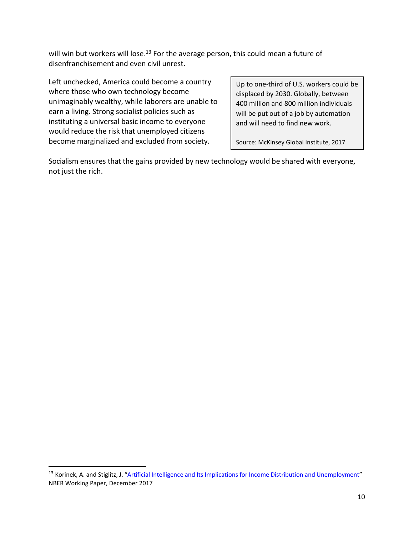will win but workers will lose.<sup>13</sup> For the average person, this could mean a future of disenfranchisement and even civil unrest.

Left unchecked, America could become a country where those who own technology become unimaginably wealthy, while laborers are unable to earn a living. Strong socialist policies such as instituting a universal basic income to everyone would reduce the risk that unemployed citizens become marginalized and excluded from society.

Up to one-third of U.S. workers could be displaced by 2030. Globally, between 400 million and 800 million individuals will be put out of a job by automation and will need to find new work.

Source: McKinsey Global Institute, 2017

Socialism ensures that the gains provided by new technology would be shared with everyone, not just the rich.

<sup>&</sup>lt;sup>13</sup> Korinek, A. and Stiglitz, J. "Artificial Intelligence and Its Implications for Income Distribution and [Unemployment](https://www.nber.org/papers/w24174)" NBER Working Paper, December 2017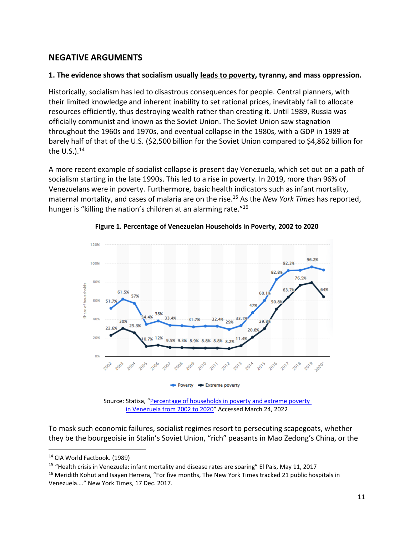## **NEGATIVE ARGUMENTS**

#### **1. The evidence shows that socialism usually leads to poverty, tyranny, and mass oppression.**

Historically, socialism has led to disastrous consequences for people. Central planners, with their limited knowledge and inherent inability to set rational prices, inevitably fail to allocate resources efficiently, thus destroying wealth rather than creating it. Until 1989, Russia was officially communist and known as the Soviet Union. The Soviet Union saw stagnation throughout the 1960s and 1970s, and eventual collapse in the 1980s, with a GDP in 1989 at barely half of that of the U.S. (\$2,500 billion for the Soviet Union compared to \$4,862 billion for the U.S.). 14

A more recent example of socialist collapse is present day Venezuela, which set out on a path of socialism starting in the late 1990s. This led to a rise in poverty. In 2019, more than 96% of Venezuelans were in poverty. Furthermore, basic health indicators such as infant mortality, maternal mortality, and cases of malaria are on the rise.<sup>15</sup> As the *New York Times* has reported, hunger is "killing the nation's children at an alarming rate."<sup>16</sup>



#### **Figure 1. Percentage of Venezuelan Households in Poverty, 2002 to 2020**

Source: Statisa, "[Percentage of households in poverty and extreme poverty](https://www.statista.com/statistics/1235189/household-poverty-rate-venezuela/)  [in Venezuela from 2002 to 2020](https://www.statista.com/statistics/1235189/household-poverty-rate-venezuela/)" Accessed March 24, 2022

To mask such economic failures, socialist regimes resort to persecuting scapegoats, whether they be the bourgeoisie in Stalin's Soviet Union, "rich" peasants in Mao Zedong's China, or the

<sup>15</sup> "Health crisis in Venezuela: infant mortality and disease rates are soaring" El Pais, May 11, 2017

<sup>16</sup> Meridith Kohut and Isayen Herrera, "For five months, The New York Times tracked 21 public hospitals in Venezuela…." New York Times, 17 Dec. 2017.

<sup>14</sup> CIA World Factbook. (1989)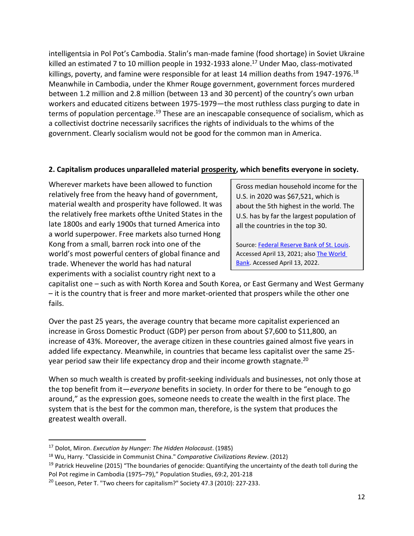intelligentsia in Pol Pot's Cambodia. Stalin's man-made famine (food shortage) in Soviet Ukraine killed an estimated 7 to 10 million people in 1932-1933 alone. <sup>17</sup> Under Mao, class-motivated killings, poverty, and famine were responsible for at least 14 million deaths from 1947-1976.<sup>18</sup> Meanwhile in Cambodia, under the Khmer Rouge government, government forces murdered between 1.2 million and 2.8 million (between 13 and 30 percent) of the country's own urban workers and educated citizens between 1975-1979—the most ruthless class purging to date in terms of population percentage.<sup>19</sup> These are an inescapable consequence of socialism, which as a collectivist doctrine necessarily sacrifices the rights of individuals to the whims of the government. Clearly socialism would not be good for the common man in America.

## **2. Capitalism produces unparalleled material prosperity, which benefits everyone in society.**

Wherever markets have been allowed to function relatively free from the heavy hand of government, material wealth and prosperity have followed. It was the relatively free markets ofthe United States in the late 1800s and early 1900s that turned America into a world superpower. Free markets also turned Hong Kong from a small, barren rock into one of the world's most powerful centers of global finance and trade. Whenever the world has had natural experiments with a socialist country right next to a

Gross median household income for the U.S. in 2020 was \$67,521, which is about the 5th highest in the world. The U.S. has by far the largest population of all the countries in the top 30.

Source: [Federal Reserve Bank of St. Louis.](https://fred.stlouisfed.org/series/MEHOINUSA672N) Accessed April 13, 2021; als[o The World](https://data.worldbank.org/indicator/NY.ADJ.NNTY.PC.CD?most_recent_value_desc=true)  [Bank.](https://data.worldbank.org/indicator/NY.ADJ.NNTY.PC.CD?most_recent_value_desc=true) Accessed April 13, 2022.

capitalist one – such as with North Korea and South Korea, or East Germany and West Germany – it is the country that is freer and more market-oriented that prospers while the other one fails.

Over the past 25 years, the average country that became more capitalist experienced an increase in Gross Domestic Product (GDP) per person from about \$7,600 to \$11,800, an increase of 43%. Moreover, the average citizen in these countries gained almost five years in added life expectancy. Meanwhile, in countries that became less capitalist over the same 25 year period saw their life expectancy drop and their income growth stagnate. 20

When so much wealth is created by profit-seeking individuals and businesses, not only those at the top benefit from it—*everyone* benefits in society. In order for there to be "enough to go around," as the expression goes, someone needs to create the wealth in the first place. The system that is the best for the common man, therefore, is the system that produces the greatest wealth overall.

<sup>17</sup> Dolot, Miron. *Execution by Hunger: The Hidden Holocaust*. (1985)

<sup>18</sup> Wu, Harry. "Classicide in Communist China." *Comparative Civilizations Review*. (2012)

<sup>&</sup>lt;sup>19</sup> Patrick Heuveline (2015) "The boundaries of genocide: Quantifying the uncertainty of the death toll during the Pol Pot regime in Cambodia (1975–79)," Population Studies, 69:2, 201-218

<sup>&</sup>lt;sup>20</sup> Leeson, Peter T. "Two cheers for capitalism?" Society 47.3 (2010): 227-233.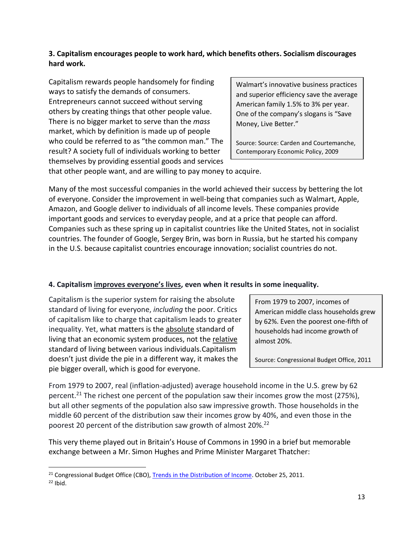#### **3. Capitalism encourages people to work hard, which benefits others. Socialism discourages hard work.**

Capitalism rewards people handsomely for finding ways to satisfy the demands of consumers. Entrepreneurs cannot succeed without serving others by creating things that other people value. There is no bigger market to serve than the *mass*  market, which by definition is made up of people who could be referred to as "the common man." The result? A society full of individuals working to better themselves by providing essential goods and services

Walmart's innovative business practices and superior efficiency save the average American family 1.5% to 3% per year. One of the company's slogans is "Save Money, Live Better."

Source: Source: Carden and Courtemanche, Contemporary Economic Policy, 2009

that other people want, and are willing to pay money to acquire.

Many of the most successful companies in the world achieved their success by bettering the lot of everyone. Consider the improvement in well-being that companies such as Walmart, Apple, Amazon, and Google deliver to individuals of all income levels. These companies provide important goods and services to everyday people, and at a price that people can afford. Companies such as these spring up in capitalist countries like the United States, not in socialist countries. The founder of Google, Sergey Brin, was born in Russia, but he started his company in the U.S. because capitalist countries encourage innovation; socialist countries do not.

## **4. Capitalism improves everyone's lives, even when it results in some inequality.**

Capitalism is the superior system for raising the absolute standard of living for everyone, *including* the poor. Critics of capitalism like to charge that capitalism leads to greater inequality. Yet, what matters is the absolute standard of living that an economic system produces, not the relative standard of living between various individuals.Capitalism doesn't just divide the pie in a different way, it makes the pie bigger overall, which is good for everyone.

From 1979 to 2007, incomes of American middle class households grew by 62%. Even the poorest one-fifth of households had income growth of almost 20%.

Source: Congressional Budget Office, 2011

From 1979 to 2007, real (inflation-adjusted) average household income in the U.S. grew by 62 percent.<sup>21</sup> The richest one percent of the population saw their incomes grow the most (275%), but all other segments of the population also saw impressive growth. Those households in the middle 60 percent of the distribution saw their incomes grow by 40%, and even those in the poorest 20 percent of the distribution saw growth of almost 20%.<sup>22</sup>

This very theme played out in Britain's House of Commons in 1990 in a brief but memorable exchange between a Mr. Simon Hughes and Prime Minister Margaret Thatcher:

<sup>&</sup>lt;sup>21</sup> Congressional Budget Office (CBO), [Trends in the Distribution of Income.](https://www.cbo.gov/publication/42537) October 25, 2011.

 $22$  Ibid.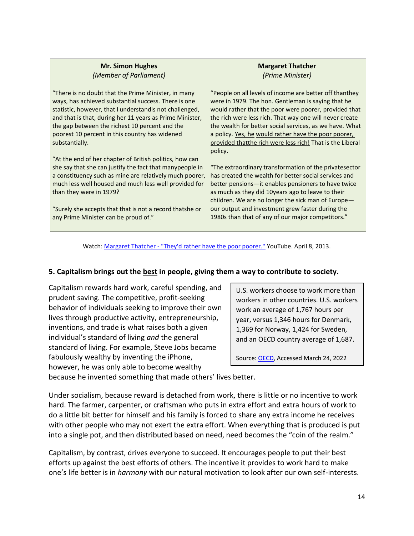| <b>Mr. Simon Hughes</b>                                                                                                                                                                                                                                                                                                                                  | <b>Margaret Thatcher</b>                                                                                                                                                                                                                                                                                                                                                                                                      |  |  |
|----------------------------------------------------------------------------------------------------------------------------------------------------------------------------------------------------------------------------------------------------------------------------------------------------------------------------------------------------------|-------------------------------------------------------------------------------------------------------------------------------------------------------------------------------------------------------------------------------------------------------------------------------------------------------------------------------------------------------------------------------------------------------------------------------|--|--|
| (Member of Parliament)                                                                                                                                                                                                                                                                                                                                   | (Prime Minister)                                                                                                                                                                                                                                                                                                                                                                                                              |  |  |
| "There is no doubt that the Prime Minister, in many<br>ways, has achieved substantial success. There is one<br>statistic, however, that I understandis not challenged,<br>and that is that, during her 11 years as Prime Minister,<br>the gap between the richest 10 percent and the<br>poorest 10 percent in this country has widened<br>substantially. | "People on all levels of income are better off thanthey<br>were in 1979. The hon. Gentleman is saying that he<br>would rather that the poor were poorer, provided that<br>the rich were less rich. That way one will never create<br>the wealth for better social services, as we have. What<br>a policy. Yes, he would rather have the poor poorer,<br>provided that the rich were less rich! That is the Liberal<br>policy. |  |  |
| "At the end of her chapter of British politics, how can                                                                                                                                                                                                                                                                                                  | "The extraordinary transformation of the privatesector                                                                                                                                                                                                                                                                                                                                                                        |  |  |
| she say that she can justify the fact that manypeople in                                                                                                                                                                                                                                                                                                 | has created the wealth for better social services and                                                                                                                                                                                                                                                                                                                                                                         |  |  |
| a constituency such as mine are relatively much poorer,                                                                                                                                                                                                                                                                                                  | better pensions—it enables pensioners to have twice                                                                                                                                                                                                                                                                                                                                                                           |  |  |
| much less well housed and much less well provided for                                                                                                                                                                                                                                                                                                    | as much as they did 10years ago to leave to their                                                                                                                                                                                                                                                                                                                                                                             |  |  |
| than they were in 1979?                                                                                                                                                                                                                                                                                                                                  | children. We are no longer the sick man of Europe $-$                                                                                                                                                                                                                                                                                                                                                                         |  |  |
| "Surely she accepts that that is not a record thatshe or                                                                                                                                                                                                                                                                                                 | our output and investment grew faster during the                                                                                                                                                                                                                                                                                                                                                                              |  |  |
| any Prime Minister can be proud of."                                                                                                                                                                                                                                                                                                                     | 1980s than that of any of our major competitors."                                                                                                                                                                                                                                                                                                                                                                             |  |  |

Watch: Margaret Thatcher - ["They'd rather have the poor poorer."](https://www.youtube.com/watch?v=pdR7WW3XR9c) YouTube. April 8, 2013.

#### **5. Capitalism brings out the best in people, giving them a way to contribute to society.**

Capitalism rewards hard work, careful spending, and prudent saving. The competitive, profit-seeking behavior of individuals seeking to improve their own lives through productive activity, entrepreneurship, inventions, and trade is what raises both a given individual's standard of living *and* the general standard of living. For example, Steve Jobs became fabulously wealthy by inventing the iPhone, however, he was only able to become wealthy

U.S. workers choose to work more than workers in other countries. U.S. workers work an average of 1,767 hours per year, versus 1,346 hours for Denmark, 1,369 for Norway, 1,424 for Sweden, and an OECD country average of 1,687.

Source: [OECD,](https://stats.oecd.org/index.aspx?DataSetCode=ANHRS) Accessed March 24, 2022

because he invented something that made others' lives better.

Under socialism, because reward is detached from work, there is little or no incentive to work hard. The farmer, carpenter, or craftsman who puts in extra effort and extra hours of work to do a little bit better for himself and his family is forced to share any extra income he receives with other people who may not exert the extra effort. When everything that is produced is put into a single pot, and then distributed based on need, need becomes the "coin of the realm."

Capitalism, by contrast, drives everyone to succeed. It encourages people to put their best efforts up against the best efforts of others. The incentive it provides to work hard to make one's life better is in *harmony* with our natural motivation to look after our own self-interests.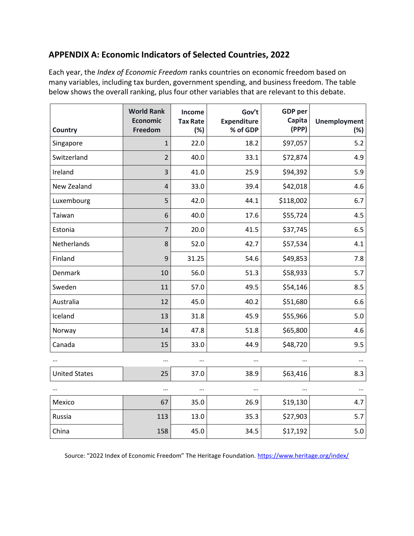## **APPENDIX A: Economic Indicators of Selected Countries, 2022**

Each year, the *Index of Economic Freedom* ranks countries on economic freedom based on many variables, including tax burden, government spending, and business freedom. The table below shows the overall ranking, plus four other variables that are relevant to this debate.

| Country              | <b>World Rank</b><br><b>Economic</b><br>Freedom | Income<br><b>Tax Rate</b><br>(%) | Gov't<br><b>Expenditure</b><br>% of GDP | <b>GDP</b> per<br>Capita<br>(PPP) | <b>Unemployment</b><br>(%) |
|----------------------|-------------------------------------------------|----------------------------------|-----------------------------------------|-----------------------------------|----------------------------|
| Singapore            | $\mathbf{1}$                                    | 22.0                             | 18.2                                    | \$97,057                          | 5.2                        |
| Switzerland          | $\overline{2}$                                  | 40.0                             | 33.1                                    | \$72,874                          | 4.9                        |
| Ireland              | 3                                               | 41.0                             | 25.9                                    | \$94,392                          | 5.9                        |
| New Zealand          | $\overline{4}$                                  | 33.0                             | 39.4                                    | \$42,018                          | 4.6                        |
| Luxembourg           | 5                                               | 42.0                             | 44.1                                    | \$118,002                         | 6.7                        |
| Taiwan               | 6                                               | 40.0                             | 17.6                                    | \$55,724                          | 4.5                        |
| Estonia              | $\overline{7}$                                  | 20.0                             | 41.5                                    | \$37,745                          | 6.5                        |
| Netherlands          | 8                                               | 52.0                             | 42.7                                    | \$57,534                          | 4.1                        |
| Finland              | 9                                               | 31.25                            | 54.6                                    | \$49,853                          | 7.8                        |
| Denmark              | 10                                              | 56.0                             | 51.3                                    | \$58,933                          | 5.7                        |
| Sweden               | 11                                              | 57.0                             | 49.5                                    | \$54,146                          | 8.5                        |
| Australia            | 12                                              | 45.0                             | 40.2                                    | \$51,680                          | 6.6                        |
| Iceland              | 13                                              | 31.8                             | 45.9                                    | \$55,966                          | 5.0                        |
| Norway               | 14                                              | 47.8                             | 51.8                                    | \$65,800                          | 4.6                        |
| Canada               | 15                                              | 33.0                             | 44.9                                    | \$48,720                          | 9.5                        |
|                      |                                                 |                                  |                                         |                                   |                            |
| <b>United States</b> | 25                                              | 37.0                             | 38.9                                    | \$63,416                          | 8.3                        |
|                      |                                                 |                                  |                                         |                                   |                            |
| Mexico               | 67                                              | 35.0                             | 26.9                                    | \$19,130                          | 4.7                        |
| Russia               | 113                                             | 13.0                             | 35.3                                    | \$27,903                          | 5.7                        |
| China                | 158                                             | 45.0                             | 34.5                                    | \$17,192                          | 5.0                        |

Source: "2022 Index of Economic Freedom" The Heritage Foundation. <https://www.heritage.org/index/>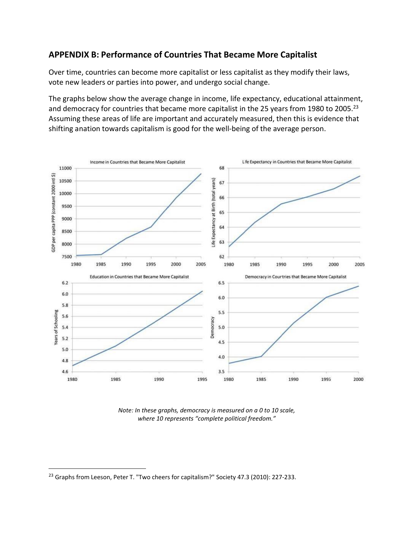## **APPENDIX B: Performance of Countries That Became More Capitalist**

Over time, countries can become more capitalist or less capitalist as they modify their laws, vote new leaders or parties into power, and undergo social change.

The graphs below show the average change in income, life expectancy, educational attainment, and democracy for countries that became more capitalist in the 25 years from 1980 to 2005.<sup>23</sup> Assuming these areas of life are important and accurately measured, then this is evidence that shifting anation towards capitalism is good for the well-being of the average person.



*Note: In these graphs, democracy is measured on a 0 to 10 scale, where 10 represents "complete political freedom."*

<sup>&</sup>lt;sup>23</sup> Graphs from Leeson, Peter T. "Two cheers for capitalism?" Society 47.3 (2010): 227-233.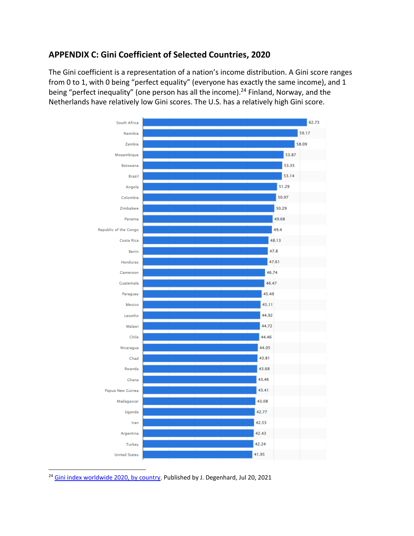## **APPENDIX C: Gini Coefficient of Selected Countries, 2020**

The Gini coefficient is a representation of a nation's income distribution. A Gini score ranges from 0 to 1, with 0 being "perfect equality" (everyone has exactly the same income), and 1 being "perfect inequality" (one person has all the income).<sup>24</sup> Finland, Norway, and the Netherlands have relatively low Gini scores. The U.S. has a relatively high Gini score.



<sup>24</sup> [Gini index worldwide 2020, by country.](https://www.statista.com/forecasts/1171540/gini-index-by-country) Published by J. Degenhard, Jul 20, 2021